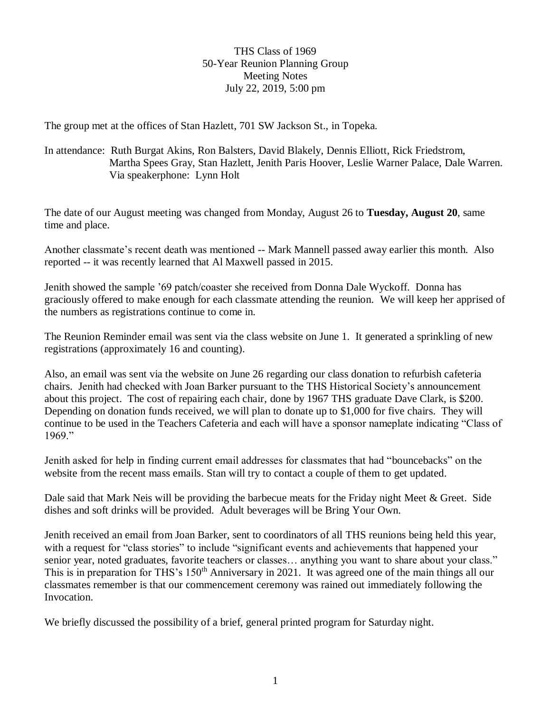THS Class of 1969 50-Year Reunion Planning Group Meeting Notes July 22, 2019, 5:00 pm

The group met at the offices of Stan Hazlett, 701 SW Jackson St., in Topeka.

In attendance: Ruth Burgat Akins, Ron Balsters, David Blakely, Dennis Elliott, Rick Friedstrom, Martha Spees Gray, Stan Hazlett, Jenith Paris Hoover, Leslie Warner Palace, Dale Warren. Via speakerphone: Lynn Holt

The date of our August meeting was changed from Monday, August 26 to **Tuesday, August 20**, same time and place.

Another classmate's recent death was mentioned -- Mark Mannell passed away earlier this month. Also reported -- it was recently learned that Al Maxwell passed in 2015.

Jenith showed the sample '69 patch/coaster she received from Donna Dale Wyckoff. Donna has graciously offered to make enough for each classmate attending the reunion. We will keep her apprised of the numbers as registrations continue to come in.

The Reunion Reminder email was sent via the class website on June 1. It generated a sprinkling of new registrations (approximately 16 and counting).

Also, an email was sent via the website on June 26 regarding our class donation to refurbish cafeteria chairs. Jenith had checked with Joan Barker pursuant to the THS Historical Society's announcement about this project. The cost of repairing each chair, done by 1967 THS graduate Dave Clark, is \$200. Depending on donation funds received, we will plan to donate up to \$1,000 for five chairs. They will continue to be used in the Teachers Cafeteria and each will have a sponsor nameplate indicating "Class of 1969."

Jenith asked for help in finding current email addresses for classmates that had "bouncebacks" on the website from the recent mass emails. Stan will try to contact a couple of them to get updated.

Dale said that Mark Neis will be providing the barbecue meats for the Friday night Meet & Greet. Side dishes and soft drinks will be provided. Adult beverages will be Bring Your Own.

Jenith received an email from Joan Barker, sent to coordinators of all THS reunions being held this year, with a request for "class stories" to include "significant events and achievements that happened your senior year, noted graduates, favorite teachers or classes... anything you want to share about your class." This is in preparation for THS's 150<sup>th</sup> Anniversary in 2021. It was agreed one of the main things all our classmates remember is that our commencement ceremony was rained out immediately following the Invocation.

We briefly discussed the possibility of a brief, general printed program for Saturday night.